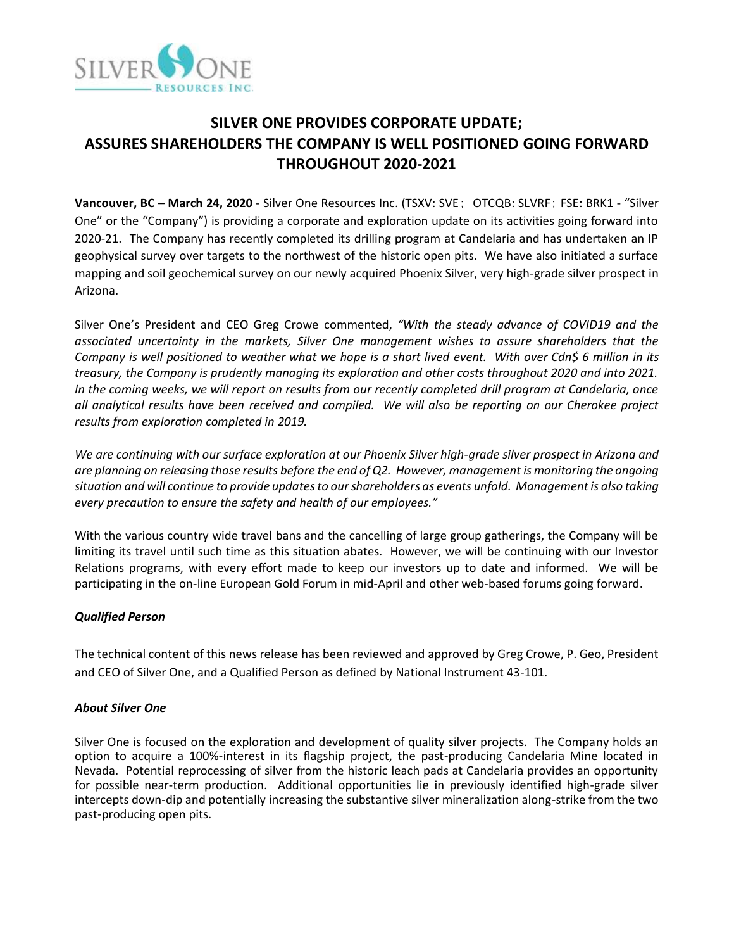

# **SILVER ONE PROVIDES CORPORATE UPDATE; ASSURES SHAREHOLDERS THE COMPANY IS WELL POSITIONED GOING FORWARD THROUGHOUT 2020-2021**

**Vancouver, BC – March 24, 2020** - Silver One Resources Inc. (TSXV: SVE; OTCQB: SLVRF; FSE: BRK1 - "Silver One" or the "Company") is providing a corporate and exploration update on its activities going forward into 2020-21. The Company has recently completed its drilling program at Candelaria and has undertaken an IP geophysical survey over targets to the northwest of the historic open pits. We have also initiated a surface mapping and soil geochemical survey on our newly acquired Phoenix Silver, very high-grade silver prospect in Arizona.

Silver One's President and CEO Greg Crowe commented, *"With the steady advance of COVID19 and the associated uncertainty in the markets, Silver One management wishes to assure shareholders that the Company is well positioned to weather what we hope is a short lived event. With over Cdn\$ 6 million in its treasury, the Company is prudently managing its exploration and other costs throughout 2020 and into 2021. In the coming weeks, we will report on results from our recently completed drill program at Candelaria, once all analytical results have been received and compiled. We will also be reporting on our Cherokee project results from exploration completed in 2019.* 

*We are continuing with our surface exploration at our Phoenix Silver high-grade silver prospect in Arizona and are planning on releasing those results before the end of Q2. However, management is monitoring the ongoing situation and will continue to provide updates to our shareholders as events unfold. Management is also taking every precaution to ensure the safety and health of our employees."* 

With the various country wide travel bans and the cancelling of large group gatherings, the Company will be limiting its travel until such time as this situation abates. However, we will be continuing with our Investor Relations programs, with every effort made to keep our investors up to date and informed. We will be participating in the on-line European Gold Forum in mid-April and other web-based forums going forward.

## *Qualified Person*

The technical content of this news release has been reviewed and approved by Greg Crowe, P. Geo, President and CEO of Silver One, and a Qualified Person as defined by National Instrument 43-101.

#### *About Silver One*

Silver One is focused on the exploration and development of quality silver projects. The Company holds an option to acquire a 100%-interest in its flagship project, the past-producing Candelaria Mine located in Nevada. Potential reprocessing of silver from the historic leach pads at Candelaria provides an opportunity for possible near-term production. Additional opportunities lie in previously identified high-grade silver intercepts down-dip and potentially increasing the substantive silver mineralization along-strike from the two past-producing open pits.